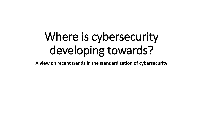# Where is cybersecurity developing towards?

**A view on recent trends in the standardization of cybersecurity**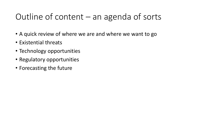# Outline of content – an agenda of sorts

- A quick review of where we are and where we want to go
- Existential threats
- Technology opportunities
- Regulatory opportunities
- Forecasting the future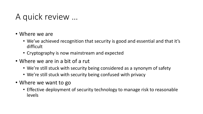#### A quick review …

- Where we are
	- We've achieved recognition that security is good and essential and that it's difficult
	- Cryptography is now mainstream and expected
- Where we are in a bit of a rut
	- We're still stuck with security being considered as a synonym of safety
	- We're still stuck with security being confused with privacy
- Where we want to go
	- Effective deployment of security technology to manage risk to reasonable levels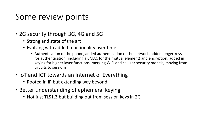#### Some review points

- 2G security through 3G, 4G and 5G
	- Strong and state of the art
	- Evolving with added functionality over time:
		- Authentication of the phone, added authentication of the network, added longer keys for authentication (including a CMAC for the mutual element) and encryption, added in keying for higher layer functions, merging WiFi and cellular security models, moving from circuits to sessions
- IoT and ICT towards an Internet of Everything
	- Rooted in IP but extending way beyond
- Better understanding of ephemeral keying
	- Not just TLS1.3 but building out from session keys in 2G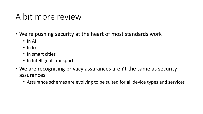#### A bit more review

- We're pushing security at the heart of most standards work
	- In AI
	- In IoT
	- In smart cities
	- In Intelligent Transport
- We are recognising privacy assurances aren't the same as security assurances
	- Assurance schemes are evolving to be suited for all device types and services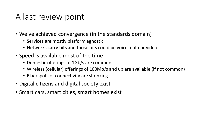#### A last review point

- We've achieved convergence (in the standards domain)
	- Services are mostly platform agnostic
	- Networks carry bits and those bits could be voice, data or video
- Speed is available most of the time
	- Domestic offerings of 1Gb/s are common
	- Wireless (cellular) offerings of 100Mb/s and up are available (if not common)
	- Blackspots of connectivity are shrinking
- Digital citizens and digital society exist
- Smart cars, smart cities, smart homes exist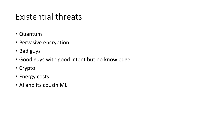#### Existential threats

- Quantum
- Pervasive encryption
- Bad guys
- Good guys with good intent but no knowledge
- Crypto
- Energy costs
- AI and its cousin ML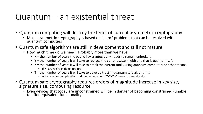#### Quantum – an existential threat

- Quantum computing will destroy the tenet of current asymmetric cryptography
	- Most asymmetric cryptography is based on "hard" problems that can be resolved with quantum computers
- Quantum safe algorithms are still in development and still not mature
	- How much time do we need? Probably more than we have
		- $X =$  the number of years the public-key cryptography needs to remain unbroken.
		- Y = the number of years it will take to replace the current system with one that is quantum-safe.
		- Z = the number of years it will take to break the current tools, using quantum computers or other means.
			- If X+Y>Z we're in deep doodoo
		- $\bullet$  T = the number of years it will take to develop trust in quantum safe algorithms
			- Adds a major complication and it now becomes if X+Y+T>Z we're in deep doodoo
- Quantum safe cryptography requires orders of magnitude increase in key size, signature size, computing resource
	- Even devices that today are unconstrained will be in danger of becoming constrained (unable to offer equivalent functionality)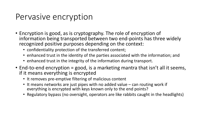#### Pervasive encryption

- Encryption is good, as is cryptography. The role of encryption of information being transported between two end-points has three widely recognized positive purposes depending on the context:
	- confidentiality protection of the transferred content;
	- enhanced trust in the identity of the parties associated with the information; and
	- enhanced trust in the integrity of the information during transport.
- End-to-end encryption = good, is a marketing mantra that isn't all it seems, if it means everything is encrypted
	- It removes pre-emptive filtering of malicious content
	- It means networks are just pipes with no added value can routing work if everything is encrypted with keys known only to the end points?
	- Regulatory bypass (no oversight, operators are like rabbits caught in the headlights)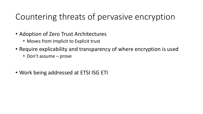# Countering threats of pervasive encryption

- Adoption of Zero Trust Architectures
	- Moves from Implicit to Explicit trust
- Require explicability and transparency of where encryption is used
	- Don't assume prove
- Work being addressed at ETSI ISG ETI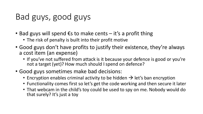# Bad guys, good guys

- Bad guys will spend  $\epsilon$ s to make cents it's a profit thing
	- The risk of penalty is built into their profit motive
- Good guys don't have profits to justify their existence, they're always a cost item (an expense)
	- If you've not suffered from attack is it because your defence is good or you're not a target (yet)? How much should I spend on defence?
- Good guys sometimes make bad decisions:
	- Encryption enables criminal activity to be hidden  $\rightarrow$  let's ban encryption
	- Functionality comes first so let's get the code working and then secure it later
	- That webcam in the child's toy could be used to spy on me. Nobody would do that surely? It's just a toy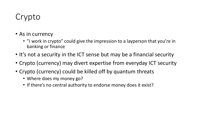# Crypto

- As in currency
	- "I work in crypto" could give the impression to a layperson that you're in banking or finance
- It's not a security in the ICT sense but may be a financial security
- Crypto (currency) may divert expertise from everyday ICT security
- Crypto (currency) could be killed off by quantum threats
	- Where does my money go?
	- If there's no central authority to endorse money does it exist?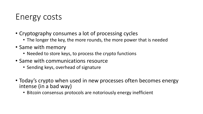# Energy costs

- Cryptography consumes a lot of processing cycles
	- The longer the key, the more rounds, the more power that is needed
- Same with memory
	- Needed to store keys, to process the crypto functions
- Same with communications resource
	- Sending keys, overhead of signature
- Today's crypto when used in new processes often becomes energy intense (in a bad way)
	- Bitcoin consensus protocols are notoriously energy inefficient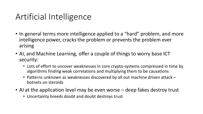#### Artificial Intelligence

- In general terms more intelligence applied to a "hard" problem, and more intelligence power, cracks the problem or prevents the problem ever arising
- AI, and Machine Learning, offer a couple of things to worry base ICT security:
	- Lots of effort to uncover weaknesses in core crypto-systems compressed in time by algorithms finding weak correlations and multiplying them to be causations
	- Patterns unknown as weaknesses discovered by all out machine driven attack botnets on steroids
- AI at the application level may be even worse deep fakes destroy trust
	- Uncertainty breeds doubt and doubt destroys trust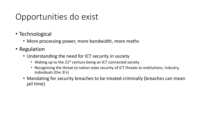# Opportunities do exist

- Technological
	- More processing power, more bandwidth, more maths
- Regulation
	- Understanding the need for ICT security in society
		- Waking up to the  $21^{st}$  century being an ICT connected society
		- Recognising the threat to nation state security of ICT threats to institutions, industry, individuals (the 3i's)
	- Mandating for security breaches to be treated criminally (breaches can mean jail time)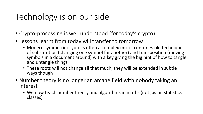# Technology is on our side

- Crypto-processing is well understood (for today's crypto)
- Lessons learnt from today will transfer to tomorrow
	- Modern symmetric crypto is often a complex mix of centuries old techniques of substitution (changing one symbol for another) and transposition (moving symbols in a document around) with a key giving the big hint of how to tangle and untangle things
	- These roots will not change all that much, they will be extended in subtle ways though
- Number theory is no longer an arcane field with nobody taking an interest
	- We now teach number theory and algorithms in maths (not just in statistics classes)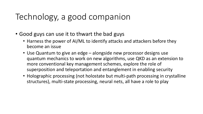# Technology, a good companion

- Good guys can use it to thwart the bad guys
	- Harness the power of AI/ML to identify attacks and attackers before they become an issue
	- Use Quantum to give an edge alongside new processor designs use quantum mechanics to work on new algorithms, use QKD as an extension to more conventional key management schemes, explore the role of superposition and teleportation and entanglement in enabling security
	- Holographic processing (not holostate but multi-path processing in crystalline structures), multi-state processing, neural nets, all have a role to play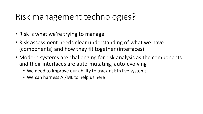# Risk management technologies?

- Risk is what we're trying to manage
- Risk assessment needs clear understanding of what we have (components) and how they fit together (interfaces)
- Modern systems are challenging for risk analysis as the components and their interfaces are auto-mutating, auto-evolving
	- We need to improve our ability to track risk in live systems
	- We can harness AI/ML to help us here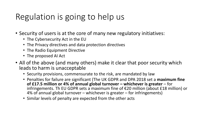# Regulation is going to help us

- Security of users is at the core of many new regulatory initiatives:
	- The Cybersecurity Act in the EU
	- The Privacy directives and data protection directives
	- The Radio Equipment Directive
	- The proposed AI Act
- All of the above (and many others) make it clear that poor security which leads to harm is unacceptable
	- Security provisions, commensurate to the risk, are mandated by law
	- Penalties for failure are significant (The UK GDPR and DPA 2018 set a **maximum fine of £17.5 million or 4% of annual global turnover – whichever is greater** – for infringements. Th EU GDPR sets a maximum fine of €20 million (about £18 million) or 4% of annual global turnover – whichever is greater – for infringements)
	- Similar levels of penalty are expected from the other acts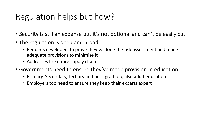#### Regulation helps but how?

- Security is still an expense but it's not optional and can't be easily cut
- The regulation is deep and broad
	- Requires developers to prove they've done the risk assessment and made adequate provisions to minimise it
	- Addresses the entire supply chain
- Governments need to ensure they've made provision in education
	- Primary, Secondary, Tertiary and post-grad too, also adult education
	- Employers too need to ensure they keep their experts expert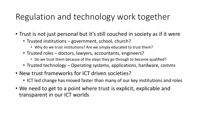# Regulation and technology work together

- Trust is not just personal but it's still couched in society as if it were
	- Trusted institutions government, school, church?
		- Why do we trust institutions? Are we simply educated to trust them?
	- Trusted roles doctors, lawyers, accountants, engineers?
		- Do we trust them because of the steps they go through to become qualified?
	- Trusted technology Operating systems, applications, hardware, comms
- New trust frameworks for ICT driven societies?
	- ICT led change has moved faster than many of our key institutions and roles
- We need to get to a point where trust is explicit, explicable and transparent in our ICT worlds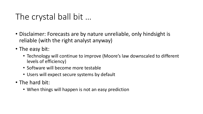# The crystal ball bit …

- Disclaimer: Forecasts are by nature unreliable, only hindsight is reliable (with the right analyst anyway)
- The easy bit:
	- Technology will continue to improve (Moore's law downscaled to different levels of efficiency)
	- Software will become more testable
	- Users will expect secure systems by default
- The hard bit:
	- When things will happen is not an easy prediction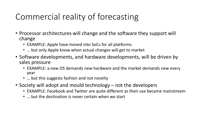# Commercial reality of forecasting

- Processor architectures will change and the software they support will change
	- EXAMPLE: Apple have moved into SoCs for all platforms
	- … but only Apple know when actual changes will get to market
- Software developments, and hardware developments, will be driven by sales pressure
	- EXAMPLE: a new OS demands new hardware and the market demands new every year
	- ... but this suggests fashion and not novelty
- Society will adopt and mould technology not the developers
	- EXAMPLE: Facebook and Twitter are quite different as their use became mainstream
	- … but the destination is never certain when we start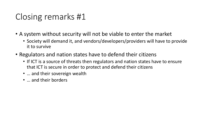# Closing remarks #1

- A system without security will not be viable to enter the market
	- Society will demand it, and vendors/developers/providers will have to provide it to survive
- Regulators and nation states have to defend their citizens
	- If ICT is a source of threats then regulators and nation states have to ensure that ICT is secure in order to protect and defend their citizens
	- ... and their sovereign wealth
	- ... and their borders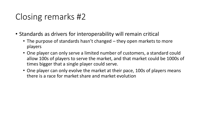# Closing remarks #2

- Standards as drivers for interoperability will remain critical
	- The purpose of standards hasn't changed they open markets to more players
	- One player can only serve a limited number of customers, a standard could allow 100s of players to serve the market, and that market could be 1000s of times bigger that a single player could serve.
	- One player can only evolve the market at their pace, 100s of players means there is a race for market share and market evolution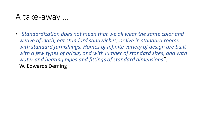#### A take-away …

• "*Standardization does not mean that we all wear the same color and weave of cloth, eat standard sandwiches, or live in standard rooms*  with standard furnishings. Homes of infinite variety of design are built *with a few types of bricks, and with lumber of standard sizes, and with water and heating pipes and fittings of standard dimensions"* , W. Edwards Deming